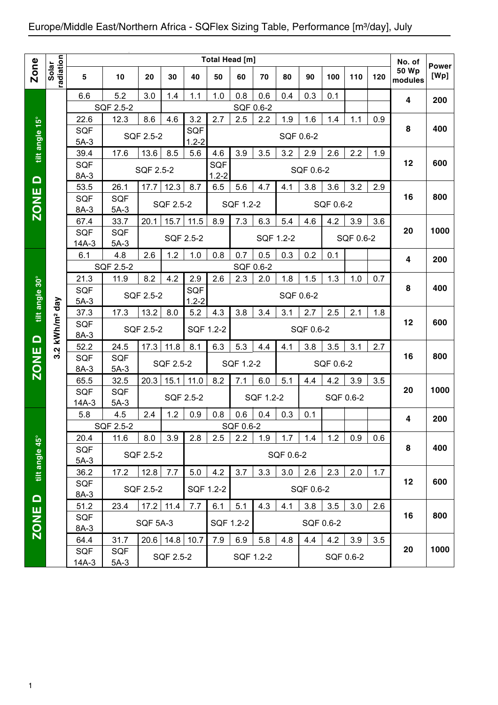|                   |                        |                      |                  |                 |                  |                  | <b>Total Head [m]</b> |                  |           |           |           |           |           |     | No. of           |                      |
|-------------------|------------------------|----------------------|------------------|-----------------|------------------|------------------|-----------------------|------------------|-----------|-----------|-----------|-----------|-----------|-----|------------------|----------------------|
| <b>Zone</b>       | radiation<br>Solar     | 5                    | 10               | 20              | 30               | 40               | 50                    | 60               | 70        | 80        | 90        | 100       | 110       | 120 | 50 Wp<br>modules | <b>Power</b><br>[Wp] |
|                   |                        | 6.6                  | 5.2              | 3.0             | 1.4              | 1.1              | 1.0                   | 0.8              | 0.6       | 0.4       | 0.3       | 0.1       |           |     | 4                | 200                  |
|                   |                        |                      | SQF 2.5-2        |                 |                  |                  |                       | SQF 0.6-2        |           |           |           |           |           |     |                  |                      |
|                   |                        | 22.6                 | 12.3             | 8.6             | 4.6              | 3.2              | 2.7                   | 2.5              | 2.2       | 1.9       | 1.6       | 1.4       | 1.1       | 0.9 |                  |                      |
| tilt angle 15°    |                        | <b>SQF</b>           |                  | SQF 2.5-2       |                  | <b>SQF</b>       |                       |                  |           | SQF 0.6-2 |           |           |           |     | 8                | 400                  |
|                   |                        | $5A-3$               |                  | 13.6            | 8.5              | $1.2 - 2$<br>5.6 |                       | 3.9              | 3.5       | 3.2       | 2.9       | 2.6       |           |     |                  |                      |
|                   |                        | 39.4<br><b>SQF</b>   | 17.6             |                 |                  |                  | 4.6<br><b>SQF</b>     |                  |           |           |           |           | 2.2       | 1.9 | 12               | 600                  |
|                   |                        | 8A-3                 |                  | SQF 2.5-2       |                  |                  | $1.2 - 2$             |                  |           |           | SQF 0.6-2 |           |           |     |                  |                      |
| $\Omega$          |                        | 53.5                 | 26.1             | 17.7            | 12.3             | 8.7              | 6.5                   | 5.6              | 4.7       | 4.1       | 3.8       | 3.6       | 3.2       | 2.9 |                  |                      |
| <b>ZONE</b>       |                        | <b>SQF</b>           | <b>SQF</b>       |                 |                  |                  |                       |                  |           |           |           |           |           |     | 16               | 800                  |
|                   |                        | 8A-3                 | $5A-3$           |                 | SQF 2.5-2        |                  |                       | SQF 1.2-2        |           |           |           | SQF 0.6-2 |           |     |                  |                      |
|                   |                        | 67.4                 | 33.7             | 20.1            | 15.7             | 11.5             | 8.9                   | 7.3              | 6.3       | 5.4       | 4.6       | 4.2       | 3.9       | 3.6 |                  |                      |
|                   |                        | <b>SQF</b>           | <b>SQF</b>       |                 |                  | SQF 2.5-2        |                       |                  | SQF 1.2-2 |           |           |           | SQF 0.6-2 |     | 20               | 1000                 |
|                   |                        | $14A-3$              | $5A-3$           |                 |                  |                  |                       |                  |           |           |           |           |           |     |                  |                      |
|                   |                        | 6.1                  | 4.8              | 2.6             | 1.2              | 1.0              | 0.8                   | 0.7              | 0.5       | 0.3       | 0.2       | 0.1       |           |     | 4                | 200                  |
|                   |                        |                      | SQF 2.5-2        |                 |                  |                  |                       | SQF 0.6-2        |           |           |           |           |           |     |                  |                      |
| tilt angle 30°    |                        | 21.3                 | 11.9             | 8.2             | 4.2              | 2.9              | 2.6                   | 2.3              | 2.0       | 1.8       | 1.5       | 1.3       | 1.0       | 0.7 | 8                | 400                  |
|                   |                        | <b>SQF</b><br>$5A-3$ |                  | SQF 2.5-2       |                  | SQF<br>$1.2 - 2$ |                       |                  |           | SQF 0.6-2 |           |           |           |     |                  |                      |
|                   |                        | 37.3                 | 17.3             | 13.2            | 8.0              | 5.2              | 4.3                   | 3.8              | 3.4       | 3.1       | 2.7       | 2.5       | 2.1       | 1.8 |                  |                      |
|                   |                        | <b>SQF</b>           |                  |                 |                  |                  |                       |                  |           |           |           |           |           |     | 12               | 600                  |
| $\Omega$          | kWh/m <sup>2</sup> day | 8A-3                 |                  | SQF 2.5-2       |                  |                  | SQF 1.2-2             |                  |           |           | SQF 0.6-2 |           |           |     |                  |                      |
|                   | $\mathbf{N}$           | 52.2                 | 24.5             | 17.3            | 11.8             | 8.1              | 6.3                   | 5.3              | 4.4       | 4.1       | 3.8       | 3.5       | 3.1       | 2.7 |                  |                      |
| <b>ZONE</b>       | ო                      | <b>SQF</b>           | <b>SQF</b>       |                 | SQF 2.5-2        |                  |                       | SQF 1.2-2        |           |           |           | SQF 0.6-2 |           |     | 16               | 800                  |
|                   |                        | 8A-3                 | $5A-3$           |                 |                  |                  |                       |                  |           |           |           |           |           |     |                  |                      |
|                   |                        | 65.5                 | 32.5             | 20.3            | 15.1             | 11.0             | 8.2                   | 7.1              | 6.0       | 5.1       | 4.4       | 4.2       | 3.9       | 3.5 |                  |                      |
|                   |                        | <b>SQF</b>           | <b>SQF</b>       |                 | SQF 2.5-2        |                  |                       |                  | SQF 1.2-2 |           |           | SQF 0.6-2 |           |     | 20               | 1000                 |
|                   |                        | $14A-3$              | $5A-3$           |                 |                  |                  |                       |                  |           |           |           |           |           |     |                  |                      |
|                   |                        | 5.8                  | 4.5<br>SQF 2.5-2 | 2.4             | 1.2              | 0.9              | 0.8                   | 0.6<br>SQF 0.6-2 | 0.4       | 0.3       | 0.1       |           |           |     | 4                | 200                  |
|                   |                        | 20.4                 | 11.6             | 8.0             | 3.9              | 2.8              | 2.5                   | 2.2              | 1.9       | 1.7       | 1.4       | 1.2       | 0.9       | 0.6 |                  |                      |
|                   |                        | SQF                  |                  |                 |                  |                  |                       |                  |           |           |           |           |           |     | 8                | 400                  |
|                   |                        | $5A-3$               |                  | SQF 2.5-2       |                  |                  |                       |                  |           | SQF 0.6-2 |           |           |           |     |                  |                      |
| tilt angle 45°    |                        | 36.2                 | 17.2             | 12.8            | 7.7              | 5.0              | 4.2                   | 3.7              | 3.3       | 3.0       | 2.6       | 2.3       | 2.0       | 1.7 |                  |                      |
|                   |                        | SQF                  |                  |                 |                  |                  |                       |                  |           |           |           |           |           |     | 12               | 600                  |
| $\mathbf{\Omega}$ |                        | 8A-3                 |                  | SQF 2.5-2       |                  |                  | SQF 1.2-2             |                  |           |           | SQF 0.6-2 |           |           |     |                  |                      |
|                   |                        | 51.2                 | 23.4             |                 | $17.2$ 11.4      | 7.7              | 6.1                   | 5.1              | 4.3       | 4.1       | 3.8       | 3.5       | 3.0       | 2.6 |                  |                      |
| ZONE              |                        | SQF                  |                  | <b>SQF 5A-3</b> |                  |                  | SQF 1.2-2             |                  |           |           | SQF 0.6-2 |           |           |     | 16               | 800                  |
|                   |                        | 8A-3                 |                  |                 |                  |                  |                       |                  |           |           |           |           |           |     |                  |                      |
|                   |                        | 64.4                 | 31.7             |                 | $20.6$ 14.8 10.7 |                  | 7.9                   | 6.9              | 5.8       | 4.8       | 4.4       | 4.2       | 3.9       | 3.5 | 20               | 1000                 |
|                   |                        | SQF<br>$14A-3$       | SQF<br>$5A-3$    |                 | SQF 2.5-2        |                  |                       | SQF 1.2-2        |           |           |           | SQF 0.6-2 |           |     |                  |                      |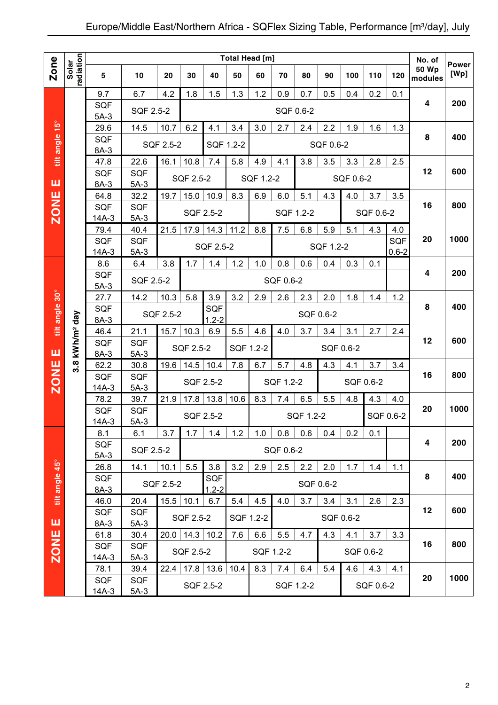|                |                        |                    |                      |           |           |                      | Total Head [m] |           |           |           |           |           |           |           | No. of           |                      |
|----------------|------------------------|--------------------|----------------------|-----------|-----------|----------------------|----------------|-----------|-----------|-----------|-----------|-----------|-----------|-----------|------------------|----------------------|
| Zone           | radiation<br>Solar     | 5                  | 10                   | 20        | 30        | 40                   | 50             | 60        | 70        | 80        | 90        | 100       | 110       | 120       | 50 Wp<br>modules | <b>Power</b><br>[Wp] |
|                |                        |                    |                      | 4.2       | 1.8       | 1.5                  | 1.3            |           |           |           | 0.5       |           |           |           |                  |                      |
|                |                        | 9.7<br><b>SQF</b>  | 6.7                  |           |           |                      |                | 1.2       | 0.9       | 0.7       |           | 0.4       | 0.2       | 0.1       | 4                | 200                  |
|                |                        | $5A-3$             | <b>SQF 2.5-2</b>     |           |           |                      |                |           | SQF 0.6-2 |           |           |           |           |           |                  |                      |
|                |                        | 29.6               | 14.5                 | 10.7      | 6.2       | 4.1                  | 3.4            | 3.0       | 2.7       | 2.4       | 2.2       | 1.9       | 1.6       | 1.3       |                  |                      |
| tilt angle 15° |                        | SQF                |                      |           |           |                      |                |           |           |           |           |           |           |           | 8                | 400                  |
|                |                        | 8A-3               |                      | SQF 2.5-2 |           |                      | SQF 1.2-2      |           |           |           | SQF 0.6-2 |           |           |           |                  |                      |
|                |                        | 47.8               | 22.6                 | 16.1      | 10.8      | 7.4                  | 5.8            | 4.9       | 4.1       | 3.8       | 3.5       | 3.3       | 2.8       | 2.5       |                  |                      |
|                |                        | SQF                | <b>SQF</b>           |           | SQF 2.5-2 |                      |                | SQF 1.2-2 |           |           |           | SQF 0.6-2 |           |           | 12               | 600                  |
| ш              |                        | 8A-3               | $5A-3$               |           |           |                      |                |           |           |           |           |           |           |           |                  |                      |
| <b>ZONE</b>    |                        | 64.8               | 32.2                 | 19.7      | 15.0      | 10.9                 | 8.3            | 6.9       | 6.0       | 5.1       | 4.3       | 4.0       | 3.7       | 3.5       | 16               | 800                  |
|                |                        | SQF<br>$14A-3$     | <b>SQF</b><br>$5A-3$ |           |           | SQF 2.5-2            |                |           | SQF 1.2-2 |           |           |           | SQF 0.6-2 |           |                  |                      |
|                |                        | 79.4               | 40.4                 | 21.5      | 17.9      | 14.3                 | 11.2           | 8.8       | 7.5       | 6.8       | 5.9       | 5.1       | 4.3       | 4.0       |                  |                      |
|                |                        | SQF                | <b>SQF</b>           |           |           |                      |                |           |           |           |           |           |           | SQF       | 20               | 1000                 |
|                |                        | $14A-3$            | $5A-3$               |           |           | SQF 2.5-2            |                |           |           |           | SQF 1.2-2 |           |           | $0.6 - 2$ |                  |                      |
|                |                        | 8.6                | 6.4                  | 3.8       | 1.7       | 1.4                  | 1.2            | 1.0       | 0.8       | 0.6       | 0.4       | 0.3       | 0.1       |           |                  |                      |
|                |                        | SQF                | SQF 2.5-2            |           |           |                      |                |           | SQF 0.6-2 |           |           |           |           |           | 4                | 200                  |
|                |                        | $5A-3$             |                      |           |           |                      |                |           |           |           |           |           |           |           |                  |                      |
|                |                        | 27.7               | 14.2                 | 10.3      | 5.8       | 3.9                  | 3.2            | 2.9       | 2.6       | 2.3       | 2.0       | 1.8       | 1.4       | 1.2       | 8                | 400                  |
|                |                        | SQF                |                      | SQF 2.5-2 |           | SQF<br>$1.2 - 2$     |                |           |           | SQF 0.6-2 |           |           |           |           |                  |                      |
| tilt angle 30° |                        | 8A-3<br>46.4       | 21.1                 | 15.7      | 10.3      | 6.9                  | 5.5            | 4.6       | 4.0       | 3.7       | 3.4       | 3.1       | 2.7       | 2.4       |                  |                      |
|                | kWh/m <sup>2</sup> day | SQF                | <b>SQF</b>           |           |           |                      |                |           |           |           |           |           |           |           | 12               | 600                  |
| ш              |                        | 8A-3               | $5A-3$               |           | SQF 2.5-2 |                      | SQF 1.2-2      |           |           |           | SQF 0.6-2 |           |           |           |                  |                      |
|                | $3.\overline{8}$       | 62.2               | 30.8                 | 19.6      | 14.5      | 10.4                 | 7.8            | 6.7       | 5.7       | 4.8       | 4.3       | 4.1       | 3.7       | 3.4       |                  |                      |
| <b>ZONE</b>    |                        | <b>SQF</b>         | <b>SQF</b>           |           |           | SQF 2.5-2            |                |           | SQF 1.2-2 |           |           |           |           |           | 16               | 800                  |
|                |                        | $14A-3$            | $5A-3$               |           |           |                      |                |           |           |           |           |           | SQF 0.6-2 |           |                  |                      |
|                |                        | 78.2               | 39.7                 | 21.9      | 17.8      | 13.8                 | 10.6           | 8.3       | 7.4       | 6.5       | 5.5       | 4.8       | 4.3       | 4.0       |                  |                      |
|                |                        | SQF                | SQF                  |           |           | SQF 2.5-2            |                |           |           | SQF 1.2-2 |           |           |           | SQF 0.6-2 | 20               | 1000                 |
|                |                        | $14A-3$            | $5A-3$               |           |           |                      |                |           |           |           |           |           |           |           |                  |                      |
|                |                        | 8.1<br><b>SQF</b>  | 6.1                  | 3.7       | 1.7       | 1.4                  | 1.2            | 1.0       | 0.8       | 0.6       | 0.4       | 0.2       | 0.1       |           | 4                | 200                  |
|                |                        | $5A-3$             | SQF 2.5-2            |           |           |                      |                |           | SQF 0.6-2 |           |           |           |           |           |                  |                      |
|                |                        | 26.8               | 14.1                 | 10.1      | 5.5       | 3.8                  | 3.2            | 2.9       | 2.5       | 2.2       | 2.0       | 1.7       | 1.4       | 1.1       |                  |                      |
|                |                        | SQF                |                      |           |           | <b>SQF</b>           |                |           |           |           |           |           |           |           | 8                | 400                  |
| tilt angle 45° |                        | $8A-3$             |                      | SQF 2.5-2 |           | $1.2 - 2$            |                |           |           | SQF 0.6-2 |           |           |           |           |                  |                      |
|                |                        | 46.0               | 20.4                 | 15.5      | 10.1      | 6.7                  | 5.4            | 4.5       | 4.0       | 3.7       | 3.4       | 3.1       | 2.6       | 2.3       |                  |                      |
|                |                        | SQF                | SQF                  |           | SQF 2.5-2 |                      | SQF 1.2-2      |           |           |           |           | SQF 0.6-2 |           |           | 12               | 600                  |
| ш              |                        | 8A-3               | $5A-3$               |           |           |                      |                |           |           |           |           |           |           |           |                  |                      |
| <b>ZONE</b>    |                        | 61.8               | 30.4                 |           |           | $20.0$   14.3   10.2 | 7.6            | 6.6       | 5.5       | 4.7       | 4.3       | 4.1       | 3.7       | 3.3       |                  |                      |
|                |                        | <b>SQF</b>         | SQF                  |           | SQF 2.5-2 |                      |                |           | SQF 1.2-2 |           |           |           | SQF 0.6-2 |           | 16               | 800                  |
|                |                        | 14A-3              | $5A-3$               | 22.4      |           | $17.8$ 13.6          | 10.4           | 8.3       | 7.4       | 6.4       | 5.4       | 4.6       | 4.3       | 4.1       |                  |                      |
|                |                        | 78.1<br><b>SQF</b> | 39.4<br>SQF          |           |           |                      |                |           |           |           |           |           |           |           | 20               | 1000                 |
|                |                        | 14A-3              | $5A-3$               |           |           | SQF 2.5-2            |                |           |           | SQF 1.2-2 |           |           | SQF 0.6-2 |           |                  |                      |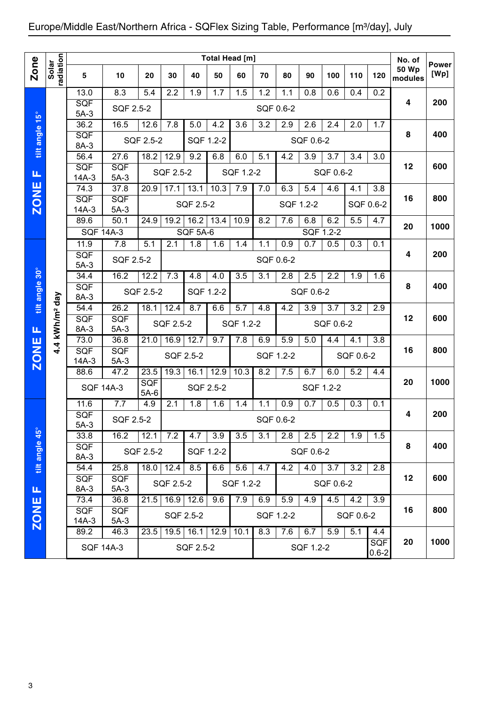|                |                            |                       |                      |               |               |                 | <b>Total Head [m]</b> |           |           |           |           |           |           |                         | No. of                  |                      |
|----------------|----------------------------|-----------------------|----------------------|---------------|---------------|-----------------|-----------------------|-----------|-----------|-----------|-----------|-----------|-----------|-------------------------|-------------------------|----------------------|
| <b>Zone</b>    | radiation<br>Solar         | 5                     | 10                   | 20            | 30            | 40              | 50                    | 60        | 70        | 80        | 90        | 100       | 110       | 120                     | <b>50 Wp</b><br>modules | <b>Power</b><br>[Wp] |
|                |                            | 13.0                  | 8.3                  | 5.4           | 2.2           | 1.9             | 1.7                   | 1.5       | 1.2       | 1.1       | 0.8       | 0.6       | 0.4       | 0.2                     |                         |                      |
|                |                            | <b>SQF</b><br>$5A-3$  | SQF 2.5-2            |               |               |                 |                       |           | SQF 0.6-2 |           |           |           |           |                         | 4                       | 200                  |
|                |                            | 36.2                  | 16.5                 | 12.6          | 7.8           | 5.0             | 4.2                   | 3.6       | 3.2       | 2.9       | 2.6       | 2.4       | 2.0       | 1.7                     |                         |                      |
| tilt angle 15° |                            | SQF<br>8A-3           |                      | SQF 2.5-2     |               |                 | SQF 1.2-2             |           |           |           | SQF 0.6-2 |           |           |                         | 8                       | 400                  |
|                |                            | 56.4                  | 27.6                 | 18.2          | 12.9          | 9.2             | 6.8                   | 6.0       | 5.1       | 4.2       | 3.9       | 3.7       | 3.4       | 3.0                     |                         |                      |
| Щ              |                            | SQF<br>$14A-3$        | <b>SQF</b><br>$5A-3$ |               | SQF 2.5-2     |                 |                       | SQF 1.2-2 |           |           |           | SQF 0.6-2 |           |                         | 12                      | 600                  |
|                |                            | 74.3                  | 37.8                 | 20.9          | 17.1          | 13.1            | 10.3                  | 7.9       | 7.0       | 6.3       | 5.4       | 4.6       | 4.1       | 3.8                     |                         |                      |
| <b>ZONE</b>    |                            | <b>SQF</b><br>$14A-3$ | <b>SQF</b><br>$5A-3$ |               |               | SQF 2.5-2       |                       |           |           | SQF 1.2-2 |           |           | SQF 0.6-2 |                         | 16                      | 800                  |
|                |                            | 89.6                  | 50.1                 | 24.9          | 19.2          | 16.2            | 13.4                  | 10.9      | 8.2       | 7.6       | 6.8       | 6.2       | 5.5       | 4.7                     |                         | 1000                 |
|                |                            | <b>SQF 14A-3</b>      |                      |               |               | <b>SQF 5A-6</b> |                       |           |           |           |           | SQF 1.2-2 |           |                         | 20                      |                      |
|                |                            | 11.9                  | 7.8                  | 5.1           | 2.1           | 1.8             | 1.6                   | 1.4       | 1.1       | 0.9       | 0.7       | 0.5       | 0.3       | 0.1                     |                         |                      |
|                |                            | SQF<br>$5A-3$         | SQF 2.5-2            |               |               |                 |                       |           | SQF 0.6-2 |           |           |           |           |                         | 4                       | 200                  |
|                |                            | 34.4                  | 16.2                 | 12.2          | 7.3           | 4.8             | 4.0                   | 3.5       | 3.1       | 2.8       | 2.5       | 2.2       | 1.9       | 1.6                     |                         |                      |
| tilt angle 30° |                            | SQF<br>8A-3           |                      | SQF 2.5-2     |               | SQF 1.2-2       |                       |           |           |           | SQF 0.6-2 |           |           |                         | 8                       | 400                  |
|                |                            | 54.4                  | 26.2                 | 18.1          | 12.4          | 8.7             | 6.6                   | 5.7       | 4.8       | 4.2       | 3.9       | 3.7       | 3.2       | 2.9                     |                         |                      |
| щ              | 4.4 kWh/m <sup>2</sup> day | SQF<br>8A-3           | <b>SQF</b><br>$5A-3$ |               | SQF 2.5-2     |                 |                       | SQF 1.2-2 |           |           |           | SQF 0.6-2 |           |                         | 12                      | 600                  |
|                |                            | 73.0                  | 36.8                 | 21.0          | 16.9          | 12.7            | 9.7                   | 7.8       | 6.9       | 5.9       | 5.0       | 4.4       | 4.1       | 3.8                     |                         |                      |
| <b>ZONE</b>    |                            | SQF<br>$14A-3$        | SQF<br>$5A-3$        |               |               | SQF 2.5-2       |                       |           | SQF 1.2-2 |           |           |           | SQF 0.6-2 |                         | 16                      | 800                  |
|                |                            | 88.6                  | 47.2                 | 23.5          | 19.3          | 16.1            | 12.9                  | 10.3      | 8.2       | 7.5       | 6.7       | 6.0       | 5.2       | 4.4                     |                         |                      |
|                |                            | <b>SQF 14A-3</b>      |                      | SQF<br>$5A-6$ |               |                 | SQF 2.5-2             |           |           |           |           | SQF 1.2-2 |           |                         | 20                      | 1000                 |
|                |                            | 11.6                  | 7.7                  | 4.9           | 2.1           | 1.8             | 1.6                   | 1.4       | 1.1       | 0.9       | 0.7       | 0.5       | 0.3       | 0.1                     |                         |                      |
|                |                            | SQF<br>$5A-3$         | SQF 2.5-2            |               |               |                 |                       |           |           | SQF 0.6-2 |           |           |           |                         | 4                       | 200                  |
|                |                            | 33.8                  | 16.2                 | 12.1          | 7.2           | 4.7             | 3.9                   | 3.5       | 3.1       | 2.8       | 2.5       | 2.2       | 1.9       | 1.5                     |                         |                      |
| tilt angle 45° |                            | <b>SQF</b><br>8A-3    |                      | SQF 2.5-2     |               |                 | SQF 1.2-2             |           |           |           | SQF 0.6-2 |           |           |                         | 8                       | 400                  |
|                |                            | 54.4                  | 25.8                 |               | $18.0$   12.4 | 8.5             | 6.6                   | 5.6       | 4.7       | 4.2       | 4.0       | 3.7       | 3.2       | 2.8                     |                         |                      |
| Щ              |                            | <b>SQF</b><br>8A-3    | <b>SQF</b><br>$5A-3$ |               | SQF 2.5-2     |                 |                       | SQF 1.2-2 |           |           |           | SQF 0.6-2 |           |                         | 12                      | 600                  |
|                |                            | 73.4                  | 36.8                 | 21.5          | 16.9          | 12.6            | 9.6                   | 7.9       | 6.9       | 5.9       | 4.9       | 4.5       | 4.2       | 3.9                     |                         |                      |
| <b>ZONE</b>    |                            | <b>SQF</b><br>$14A-3$ | <b>SQF</b><br>$5A-3$ |               |               | SQF 2.5-2       |                       |           | SQF 1.2-2 |           |           |           | SQF 0.6-2 |                         | 16                      | 800                  |
|                |                            | 89.2                  | 46.3                 | 23.5          | 19.5          | 16.1            | 12.9                  | 10.1      | 8.3       | 7.6       | 6.7       | 5.9       | 5.1       | 4.4                     |                         |                      |
|                |                            | <b>SQF 14A-3</b>      |                      |               |               | SQF 2.5-2       |                       |           |           |           | SQF 1.2-2 |           |           | <b>SQF</b><br>$0.6 - 2$ | 20                      | 1000                 |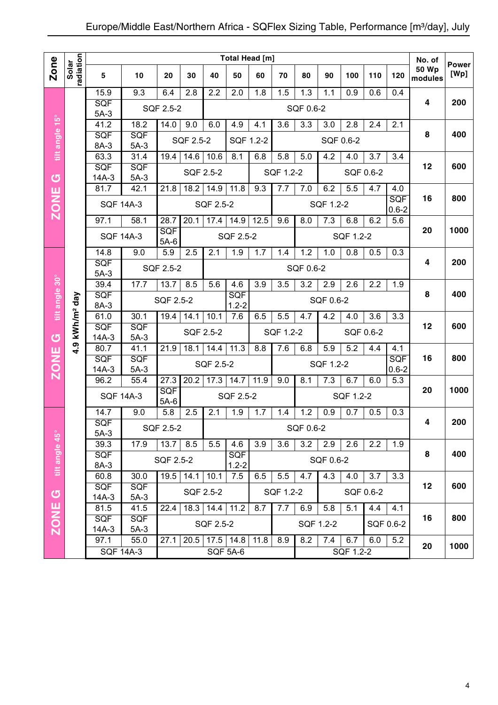|                |                            |                       |                             |               |           |                | Total Head [m]    |                  |                  |           |                  |           |                  |                         | No. of                  | <b>Power</b> |
|----------------|----------------------------|-----------------------|-----------------------------|---------------|-----------|----------------|-------------------|------------------|------------------|-----------|------------------|-----------|------------------|-------------------------|-------------------------|--------------|
| Zone           | radiation<br>Solar         | 5                     | 10                          | 20            | 30        | 40             | 50                | 60               | 70               | 80        | 90               | 100       | 110              | 120                     | <b>50 Wp</b><br>modules | [Wp]         |
|                |                            | 15.9                  | 9.3                         | 6.4           | 2.8       | 2.2            | 2.0               | 1.8              | 1.5              | 1.3       | 1.1              | 0.9       | 0.6              | 0.4                     |                         |              |
|                |                            | SQF<br>$5A-3$         |                             | SQF 2.5-2     |           |                |                   |                  |                  | SQF 0.6-2 |                  |           |                  |                         | 4                       | 200          |
|                |                            | 41.2                  | 18.2                        | 14.0          | 9.0       | 6.0            | 4.9               | 4.1              | 3.6              | 3.3       | 3.0              | 2.8       | 2.4              | 2.1                     |                         |              |
| tilt angle 15° |                            | SQF                   | SQF                         |               | SQF 2.5-2 |                | SQF 1.2-2         |                  |                  |           |                  | SQF 0.6-2 |                  |                         | 8                       | 400          |
|                |                            | 8A-3<br>63.3          | $5A-3$<br>$\overline{31.4}$ | 19.4          |           |                | 8.1               | 6.8              | 5.8              | 5.0       | 4.2              |           |                  | 3.4                     |                         |              |
|                |                            | SQF                   | SQF                         |               | 14.6      | 10.6           |                   |                  |                  |           |                  | 4.0       | 3.7              |                         | 12                      | 600          |
| <u>්</u>       |                            | $14A-3$               | $5A-3$                      |               |           | SQF 2.5-2      |                   |                  | SQF 1.2-2        |           |                  |           | SQF 0.6-2        |                         |                         |              |
|                |                            | 81.7                  | 42.1                        | 21.8          | 18.2      | 14.9           | 11.8              | 9.3              | 7.7              | 7.0       | 6.2              | 5.5       | 4.7              | 4.0                     |                         |              |
| <b>ZONE</b>    |                            |                       | <b>SQF 14A-3</b>            |               |           | SQF 2.5-2      |                   |                  |                  |           | SQF 1.2-2        |           |                  | <b>SQF</b><br>$0.6 - 2$ | 16                      | 800          |
|                |                            | 97.1                  | 58.1                        | 28.7          | 20.1      | 17.4           | 14.9              | 12.5             | 9.6              | 8.0       | 7.3              | 6.8       | 6.2              | 5.6                     |                         |              |
|                |                            |                       | <b>SQF 14A-3</b>            | SQF<br>$5A-6$ |           |                | SQF 2.5-2         |                  |                  |           |                  | SQF 1.2-2 |                  |                         | 20                      | 1000         |
|                |                            | 14.8                  | 9.0                         | 5.9           | 2.5       | 2.1            | 1.9               | 1.7              | 1.4              | 1.2       | 1.0              | 0.8       | 0.5              | 0.3                     |                         |              |
|                |                            | SQF                   |                             | SQF 2.5-2     |           |                |                   |                  |                  | SQF 0.6-2 |                  |           |                  |                         | 4                       | 200          |
|                |                            | $5A-3$<br>39.4        | 17.7                        | 13.7          | 8.5       | 5.6            | 4.6               | $\overline{3.9}$ | $\overline{3.5}$ | 3.2       | 2.9              | 2.6       | 2.2              | 1.9                     |                         |              |
| tilt angle 30° |                            | SQF                   |                             | SQF 2.5-2     |           |                | SQF               |                  |                  |           | SQF 0.6-2        |           |                  |                         | 8                       | 400          |
|                |                            | 8A-3                  |                             |               |           |                | $1.2 - 2$         |                  |                  |           |                  |           |                  |                         |                         |              |
|                | 4.9 kWh/m <sup>2</sup> day | 61.0<br>SQF           | 30.1<br>SQF                 | 19.4          | 14.1      | 10.1           | 7.6               | 6.5              | 5.5              | 4.7       | 4.2              | 4.0       | $\overline{3.6}$ | $\overline{3.3}$        | 12                      | 600          |
| <mark>ු</mark> |                            | $14A-3$               | $5A-3$                      |               |           | SQF 2.5-2      |                   |                  | SQF 1.2-2        |           |                  |           | SQF 0.6-2        |                         |                         |              |
|                |                            | 80.7                  | 41.1                        | 21.9          | 18.1      | 14.4           | 11.3              | 8.8              | 7.6              | 6.8       | $\overline{5.9}$ | 5.2       | 4.4              | 4.1                     |                         |              |
| <b>ZONE</b>    |                            | SQF<br>$14A-3$        | SQF<br>$5A-3$               |               |           | SQF 2.5-2      |                   |                  |                  |           | SQF 1.2-2        |           |                  | SQF<br>$0.6 - 2$        | 16                      | 800          |
|                |                            | 96.2                  | 55.4                        | 27.3          | 20.2      | 17.3           | 14.7              | 11.9             | 9.0              | 8.1       | 7.3              | 6.7       | 6.0              | 5.3                     |                         |              |
|                |                            |                       | <b>SQF 14A-3</b>            | SQF<br>$5A-6$ |           |                | SQF 2.5-2         |                  |                  |           |                  | SQF 1.2-2 |                  |                         | 20                      | 1000         |
|                |                            | 14.7                  | 9.0                         | 5.8           | 2.5       | 2.1            | 1.9               | 1.7              | 1.4              | 1.2       | 0.9              | 0.7       | 0.5              | 0.3                     |                         |              |
|                |                            | SQF                   |                             | SQF 2.5-2     |           |                |                   |                  |                  | SQF 0.6-2 |                  |           |                  |                         | 4                       | 200          |
|                |                            | $5A-3$                |                             |               |           |                |                   |                  |                  |           |                  |           |                  |                         |                         |              |
| tilt angle 45° |                            | 39.3<br>SQF           | 17.9                        | 13.7          | 8.5       | 5.5            | 4.6<br><b>SQF</b> | 3.9              | 3.6              | 3.2       | 2.9              | 2.6       | 2.2              | 1.9                     | 8                       | 400          |
|                |                            | 8A-3                  |                             | SQF 2.5-2     |           |                | $1.2 - 2$         |                  |                  |           | SQF 0.6-2        |           |                  |                         |                         |              |
|                |                            | 60.8                  | 30.0                        | 19.5          |           | $14.1$ 10.1    | 7.5               | 6.5              | 5.5              | 4.7       | 4.3              | 4.0       | 3.7              | 3.3                     |                         |              |
| G              |                            | <b>SQF</b><br>$14A-3$ | <b>SQF</b><br>$5A-3$        |               |           | SQF 2.5-2      |                   |                  | SQF 1.2-2        |           |                  |           | SQF 0.6-2        |                         | 12                      | 600          |
|                |                            | 81.5                  | 41.5                        | 22.4          |           | $18.3$ 14.4    | 11.2              | 8.7              | 7.7              | 6.9       | 5.8              | 5.1       | 4.4              | 4.1                     |                         |              |
| <b>ZONE</b>    |                            | <b>SQF</b>            | <b>SQF</b>                  |               |           | SQF 2.5-2      |                   |                  |                  |           | SQF 1.2-2        |           |                  | SQF 0.6-2               | 16                      | 800          |
|                |                            | $14A-3$<br>97.1       | $5A-3$<br>55.0              | 27.1          |           | 20.5 17.5 14.8 |                   | 11.8             | 8.9              | 8.2       | 7.4              | 6.7       | 6.0              | 5.2                     |                         |              |
|                |                            |                       | <b>SQF 14A-3</b>            |               |           |                | <b>SQF 5A-6</b>   |                  |                  |           |                  | SQF 1.2-2 |                  |                         | 20                      | 1000         |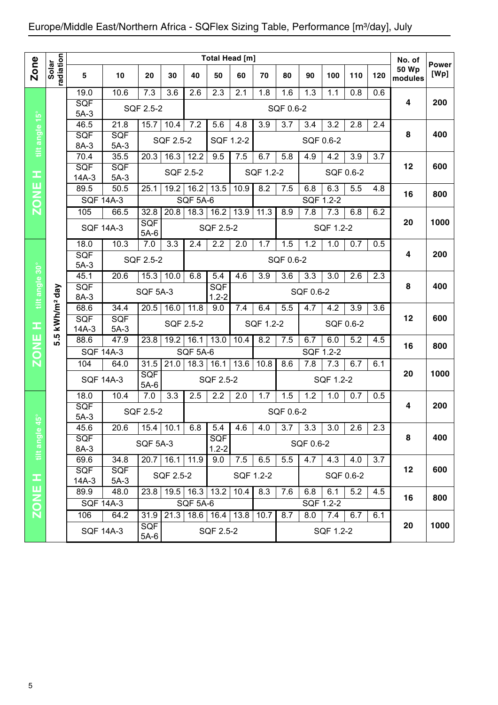|                |                    |                      |                      |                      |                   |                 | Total Head [m]          |           |           |           |                  |                  |                  |     | No. of                  |                      |
|----------------|--------------------|----------------------|----------------------|----------------------|-------------------|-----------------|-------------------------|-----------|-----------|-----------|------------------|------------------|------------------|-----|-------------------------|----------------------|
| <b>Zone</b>    | Solar<br>radiation | 5                    | 10                   | 20                   | 30                | 40              | 50                      | 60        | 70        | 80        | 90               | 100              | 110              | 120 | <b>50 Wp</b><br>modules | <b>Power</b><br>[Wp] |
|                |                    | 19.0                 | 10.6                 | 7.3                  | 3.6               | 2.6             | 2.3                     | 2.1       | 1.8       | 1.6       | $\overline{1.3}$ | 1.1              | 0.8              | 0.6 |                         |                      |
|                |                    | <b>SQF</b><br>$5A-3$ |                      | SQF 2.5-2            |                   |                 |                         |           |           | SQF 0.6-2 |                  |                  |                  |     | 4                       | 200                  |
|                |                    | 46.5                 | 21.8                 | 15.7                 | 10.4              | 7.2             | 5.6                     | 4.8       | 3.9       | 3.7       | 3.4              | 3.2              | 2.8              | 2.4 |                         |                      |
| tilt angle 15° |                    | SQF<br>8A-3          | SQF<br>$5A-3$        |                      | SQF 2.5-2         |                 | SQF 1.2-2               |           |           |           |                  | SQF 0.6-2        |                  |     | 8                       | 400                  |
|                |                    | 70.4                 | 35.5                 | 20.3                 | $\overline{16.3}$ | 12.2            | 9.5                     | 7.5       | 6.7       | 5.8       | 4.9              | 4.2              | 3.9              | 3.7 |                         |                      |
| Ŧ              |                    | <b>SQF</b>           | SQF<br>$5A-3$        |                      | SQF 2.5-2         |                 |                         |           | SQF 1.2-2 |           |                  |                  | SQF 0.6-2        |     | 12                      | 600                  |
|                |                    | $14A-3$<br>89.5      | 50.5                 | 25.1                 | 19.2              | 16.2            | 13.5                    | 10.9      | 8.2       | 7.5       | 6.8              | 6.3              | $\overline{5.5}$ | 4.8 |                         |                      |
| <b>ZONE</b>    |                    | <b>SQF 14A-3</b>     |                      |                      |                   | <b>SQF 5A-6</b> |                         |           |           |           |                  | SQF 1.2-2        |                  |     | 16                      | 800                  |
|                |                    | 105                  | 66.5                 | 32.8                 | 20.8              | 18.3            | 16.2                    | 13.9      | 11.3      | 8.9       | 7.8              | 7.3              | 6.8              | 6.2 |                         |                      |
|                |                    | <b>SQF 14A-3</b>     |                      | <b>SQF</b><br>$5A-6$ |                   |                 | SQF 2.5-2               |           |           |           |                  | SQF 1.2-2        |                  |     | 20                      | 1000                 |
|                |                    | 18.0                 | 10.3                 | 7.0                  | 3.3               | 2.4             | 2.2                     | 2.0       | 1.7       | 1.5       | 1.2              | 1.0              | 0.7              | 0.5 |                         |                      |
|                |                    | SQF                  |                      | SQF 2.5-2            |                   |                 |                         |           |           | SQF 0.6-2 |                  |                  |                  |     | 4                       | 200                  |
|                |                    | $5A-3$<br>45.1       | 20.6<br>15.3<br>10.0 |                      |                   |                 | 5.4                     | 4.6       | 3.9       | 3.6       | 3.3              | 3.0              | 2.6              | 2.3 |                         |                      |
|                |                    | SQF                  |                      |                      |                   | 6.8             | SQF                     |           |           |           |                  |                  |                  |     | 8                       | 400                  |
| tilt angle 30° | day                | 8A-3                 |                      | <b>SQF 5A-3</b>      |                   |                 | $1.2 - 2$               |           |           |           | SQF 0.6-2        |                  |                  |     |                         |                      |
|                |                    | 68.6                 | 34.4                 | 16.0                 | 11.8              | 9.0             | 7.4                     | 6.4       | 5.5       | 4.7       | 4.2              | 3.9              | 3.6              |     |                         |                      |
| Œ              | kWh/m <sup>2</sup> | SQF<br>$14A-3$       | <b>SQF</b><br>$5A-3$ |                      | SQF 2.5-2         |                 |                         |           | SQF 1.2-2 |           |                  | SQF 0.6-2        |                  |     | 12                      | 600                  |
| <b>ZONE</b>    | rÙ.<br>ທ່          | 88.6                 | 47.9                 | 23.8                 | 19.2              | 16.1            | 13.0                    | 10.4      | 8.2       | 7.5       | 6.7              | 6.0              | 5.2              | 4.5 |                         |                      |
|                |                    | <b>SQF 14A-3</b>     |                      |                      |                   | <b>SQF 5A-6</b> |                         |           |           |           |                  | <b>SQF 1.2-2</b> |                  |     | 16                      | 800                  |
|                |                    | 104                  | 64.0                 | 31.5                 | 21.0              | 18.3            | 16.1                    | 13.6      | 10.8      | 8.6       | 7.8              | 7.3              | 6.7              | 6.1 |                         |                      |
|                |                    | <b>SQF 14A-3</b>     |                      | <b>SQF</b><br>$5A-6$ |                   |                 | SQF 2.5-2               |           |           |           |                  | SQF 1.2-2        |                  |     | 20                      | 1000                 |
|                |                    | 18.0                 | 10.4                 | 7.0                  | 3.3               | 2.5             | 2.2                     | 2.0       | 1.7       | 1.5       | $\overline{1.2}$ | 1.0              | 0.7              | 0.5 |                         |                      |
|                |                    | SQF<br>$5A-3$        |                      | SQF 2.5-2            |                   |                 |                         |           |           | SQF 0.6-2 |                  |                  |                  |     | 4                       | 200                  |
| $45^{\circ}$   |                    | 45.6                 | 20.6                 | 15.4                 | 10.1              | 6.8             | 5.4                     | 4.6       | 4.0       | 3.7       | 3.3              | 3.0              | 2.6              | 2.3 |                         |                      |
| tilt angle     |                    | SQF<br>8A-3          |                      | <b>SQF 5A-3</b>      |                   |                 | <b>SQF</b><br>$1.2 - 2$ |           |           |           | SQF 0.6-2        |                  |                  |     | 8                       | 400                  |
|                |                    | 69.6                 | 34.8                 |                      | $20.7$ 16.1       | 11.9            | 9.0                     | 7.5       | 6.5       | 5.5       | 4.7              | 4.3              | 4.0              | 3.7 |                         |                      |
|                |                    | <b>SQF</b>           | <b>SQF</b>           |                      |                   |                 |                         |           |           |           |                  |                  |                  |     | 12                      | 600                  |
| œ              |                    | $14A-3$              | $5A-3$               |                      | SQF 2.5-2         |                 |                         | SQF 1.2-2 |           |           |                  | SQF 0.6-2        |                  |     |                         |                      |
|                |                    | 89.9                 | 48.0                 | 23.8                 | 19.5              | 16.3            | 13.2                    | 10.4      | 8.3       | 7.6       | 6.8              | 6.1              | 5.2              | 4.5 | 16                      | 800                  |
| <b>ZONE</b>    |                    |                      | <b>SQF 14A-3</b>     |                      |                   | <b>SQF 5A-6</b> |                         |           |           |           |                  | SQF 1.2-2        |                  |     |                         |                      |
|                |                    | 106                  | 64.2                 | 31.9                 | 21.3              |                 | 18.6   16.4   13.8      |           | 10.7      | 8.7       | 8.0              | 7.4              | 6.7              | 6.1 |                         | 1000                 |
|                |                    |                      | <b>SQF 14A-3</b>     | <b>SQF</b><br>5A-6   |                   |                 | SQF 2.5-2               |           |           |           |                  | SQF 1.2-2        |                  |     | 20                      |                      |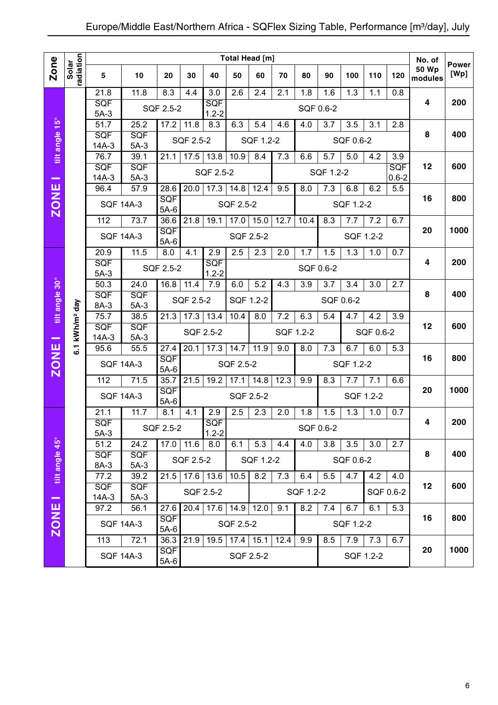|                          |                            |                      |                                                 |                      |           |                                  |           | Total Head [m]   |      |           |           |           |           |           | No. of           | <b>Power</b> |
|--------------------------|----------------------------|----------------------|-------------------------------------------------|----------------------|-----------|----------------------------------|-----------|------------------|------|-----------|-----------|-----------|-----------|-----------|------------------|--------------|
| Zone                     | radiation<br>Solar         | 5                    | 10                                              | 20                   | 30        | 40                               | 50        | 60               | 70   | 80        | 90        | 100       | 110       | 120       | 50 Wp<br>modules | [Wp]         |
|                          |                            | 21.8                 | 11.8                                            | 8.3                  | 4.4       | $\overline{3.0}$                 | 2.6       | 2.4              | 2.1  | 1.8       | 1.6       | 1.3       | 1.1       | 0.8       |                  |              |
|                          |                            | SQF<br>$5A-3$        |                                                 | SQF 2.5-2            |           | SQF<br>$1.2 - 2$                 |           |                  |      |           | SQF 0.6-2 |           |           |           | 4                | 200          |
|                          |                            | $\overline{51.7}$    | 25.2                                            | 17.2                 | 11.8      | 8.3                              | 6.3       | 5.4              | 4.6  | 4.0       | 3.7       | 3.5       | 3.1       | 2.8       |                  |              |
| tilt angle 15°           |                            | SQF                  | SQF                                             |                      | SQF 2.5-2 |                                  |           | SQF 1.2-2        |      |           |           | SQF 0.6-2 |           |           | 8                | 400          |
|                          |                            | $14A-3$<br>76.7      | $5A-3$<br>39.1                                  | 21.1                 | 17.5      | 13.8                             | 10.9      | 8.4              | 7.3  | 6.6       | 5.7       | 5.0       | 4.2       | 3.9       |                  |              |
|                          |                            | SQF                  | SQF                                             |                      |           |                                  |           |                  |      |           |           |           |           | SQF       | 12               | 600          |
| $\overline{\phantom{a}}$ |                            | $14A-3$              | $5A-3$                                          |                      |           | SQF 2.5-2                        |           |                  |      |           | SQF 1.2-2 |           |           | $0.6 - 2$ |                  |              |
|                          |                            | 96.4                 | 57.9                                            | 28.6                 | 20.0      | 17.3                             | 14.8      | 12.4             | 9.5  | 8.0       | 7.3       | 6.8       | 6.2       | 5.5       |                  |              |
| <b>ZONE</b>              |                            | <b>SQF 14A-3</b>     |                                                 | <b>SQF</b><br>$5A-6$ |           |                                  | SQF 2.5-2 |                  |      |           |           | SQF 1.2-2 |           |           | 16               | 800          |
|                          |                            | 112                  | 73.7                                            | 36.6                 | 21.8      | 19.1                             | 17.0      | 15.0             | 12.7 | 10.4      | 8.3       | 7.7       | 7.2       | 6.7       |                  |              |
|                          |                            | <b>SQF 14A-3</b>     |                                                 | SQF<br>$5A-6$        |           |                                  |           | SQF 2.5-2        |      |           |           |           | SQF 1.2-2 |           | 20               | 1000         |
|                          |                            | 20.9                 | 11.5                                            | $\overline{8.0}$     | 4.1       | 2.9                              | 2.5       | 2.3              | 2.0  | 1.7       | 1.5       | 1.3       | 1.0       | 0.7       |                  |              |
|                          |                            | SQF<br>$5A-3$        |                                                 | SQF 2.5-2            |           | SQF<br>$1.2 - 2$                 |           |                  |      |           | SQF 0.6-2 |           |           |           | 4                | 200          |
|                          |                            | $\overline{50.3}$    | 24.0                                            | 16.8                 | 11.4      | 7.9                              | 6.0       | $\overline{5.2}$ | 4.3  | 3.9       | 3.7       | 3.4       | 3.0       | 2.7       |                  |              |
|                          |                            | SQF                  | <b>SQF</b>                                      |                      | SQF 2.5-2 |                                  |           | SQF 1.2-2        |      |           | SQF 0.6-2 |           |           |           | 8                | 400          |
| tilt angle 30°           |                            | 8A-3                 | $5A-3$                                          | 21.3                 |           |                                  |           |                  |      |           |           |           |           |           |                  |              |
|                          |                            |                      | 75.7<br>38.5<br>SQF<br>SQF<br>$5A-3$<br>$14A-3$ |                      | 17.3      | 13.4                             | 10.4      | 8.0              | 7.2  | 6.3       | 5.4       | 4.7       | 4.2       | 3.9       | 12               | 600          |
| -                        | 6.1 kWh/m <sup>2</sup> day |                      |                                                 |                      |           | SQF 2.5-2                        |           |                  |      | SQF 1.2-2 |           |           | SQF 0.6-2 |           |                  |              |
|                          |                            | 95.6                 | 55.5                                            | 27.4                 | 20.1      | 17.3                             | 14.7      | 11.9             | 9.0  | 8.0       | 7.3       | 6.7       | 6.0       | 5.3       |                  |              |
| <b>ZONE</b>              |                            | <b>SQF 14A-3</b>     |                                                 | SQF<br>$5A-6$        |           |                                  | SQF 2.5-2 |                  |      |           |           | SQF 1.2-2 |           |           | 16               | 800          |
|                          |                            | 112                  | 71.5                                            | 35.7                 | 21.5      | 19.2                             | 17.1      | 14.8             | 12.3 | 9.9       | 8.3       | 7.7       | 7.1       | 6.6       |                  |              |
|                          |                            | <b>SQF 14A-3</b>     |                                                 | SQF<br>$5A-6$        |           |                                  |           | SQF 2.5-2        |      |           |           |           | SQF 1.2-2 |           | 20               | 1000         |
|                          |                            | 21.1                 | 11.7                                            | 8.1                  | 4.1       | 2.9                              | 2.5       | 2.3              | 2.0  | 1.8       | 1.5       | 1.3       | 1.0       | 0.7       |                  |              |
|                          |                            | <b>SQF</b><br>$5A-3$ |                                                 | SQF 2.5-2            |           | SQF<br>$1.2 - 2$                 |           |                  |      |           | SQF 0.6-2 |           |           |           | 4                | 200          |
|                          |                            | 51.2                 | 24.2                                            | $17.0$ 11.6          |           | 8.0                              | 6.1       | 5.3              | 4.4  | 4.0       | 3.8       | 3.5       | 3.0       | 2.7       |                  |              |
| tilt angle 45°           |                            | <b>SQF</b><br>8A-3   | <b>SQF</b><br>$5A-3$                            |                      | SQF 2.5-2 |                                  |           | SQF 1.2-2        |      |           |           | SQF 0.6-2 |           |           | 8                | 400          |
|                          |                            | 77.2                 | 39.2                                            | 21.5                 |           | $17.6$ 13.6                      | 10.5      | 8.2              | 7.3  | 6.4       | 5.5       | 4.7       | 4.2       | 4.0       |                  |              |
|                          |                            | <b>SQF</b>           | <b>SQF</b>                                      |                      |           | SQF 2.5-2                        |           |                  |      | SQF 1.2-2 |           |           |           | SQF 0.6-2 | 12               | 600          |
| $\equiv$                 |                            | $14A-3$              | $5A-3$                                          |                      |           |                                  |           |                  |      |           |           |           |           |           |                  |              |
|                          |                            | 97.2                 | 56.1                                            | 27.6<br>SQF          | 20.4      | 17.6                             | 14.9      | 12.0             | 9.1  | 8.2       | 7.4       | 6.7       | 6.1       | 5.3       | 16               | 800          |
| <b>ZONE</b>              |                            |                      | <b>SQF 14A-3</b>                                | $5A-6$               |           |                                  | SQF 2.5-2 |                  |      |           |           | SQF 1.2-2 |           |           |                  |              |
|                          |                            | 113                  | 72.1                                            | 36.3                 |           | 21.9   19.5   17.4   15.1   12.4 |           |                  |      | 9.9       | 8.5       | 7.9       | 7.3       | 6.7       |                  |              |
|                          |                            |                      | <b>SQF 14A-3</b>                                | <b>SQF</b><br>$5A-6$ |           |                                  |           | SQF 2.5-2        |      |           |           |           | SQF 1.2-2 |           | 20               | 1000         |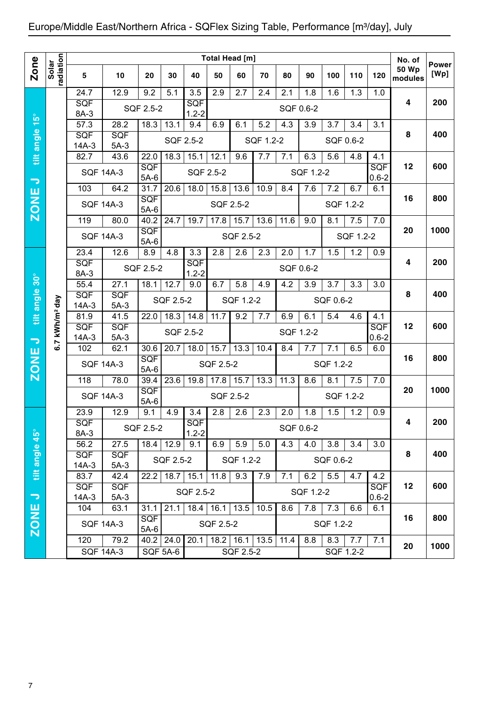|                          |                        |                       |                      |                      |                 |                         |           | Total Head [m]       |           |           |           |           |           |                         | No. of                  |                      |
|--------------------------|------------------------|-----------------------|----------------------|----------------------|-----------------|-------------------------|-----------|----------------------|-----------|-----------|-----------|-----------|-----------|-------------------------|-------------------------|----------------------|
| <b>Zone</b>              | radiation<br>Solar     | 5                     | 10                   | 20                   | 30              | 40                      | 50        | 60                   | 70        | 80        | 90        | 100       | 110       | 120                     | <b>50 Wp</b><br>modules | <b>Power</b><br>[Wp] |
|                          |                        | 24.7                  | 12.9                 | 9.2                  | 5.1             | 3.5                     | 2.9       | 2.7                  | 2.4       | 2.1       | 1.8       | 1.6       | 1.3       | 1.0                     |                         |                      |
|                          |                        | <b>SQF</b><br>8A-3    |                      | SQF 2.5-2            |                 | <b>SQF</b><br>$1.2 - 2$ |           |                      |           | SQF 0.6-2 |           |           |           |                         | 4                       | 200                  |
|                          |                        | $\overline{57.3}$     | 28.2                 | 18.3                 | 13.1            | 9.4                     | 6.9       | 6.1                  | 5.2       | 4.3       | 3.9       | 3.7       | 3.4       | 3.1                     |                         |                      |
| tilt angle 15°           |                        | <b>SQF</b><br>$14A-3$ | <b>SQF</b><br>$5A-3$ |                      |                 | SQF 2.5-2               |           |                      | SQF 1.2-2 |           |           |           | SQF 0.6-2 |                         | 8                       | 400                  |
|                          |                        | 82.7                  | 43.6                 | 22.0                 | 18.3            | 15.1                    | 12.1      | 9.6                  | 7.7       | 7.1       | 6.3       | 5.6       | 4.8       | 4.1                     |                         |                      |
|                          |                        | <b>SQF 14A-3</b>      |                      | SQF<br>$5A-6$        |                 | SQF 2.5-2               |           |                      |           |           | SQF 1.2-2 |           |           | SQF<br>$0.6 - 2$        | 12                      | 600                  |
| $\overline{\phantom{0}}$ |                        | 103                   | 64.2                 | 31.7                 | 20.6            | 18.0                    | 15.8      | 13.6                 | 10.9      | 8.4       | 7.6       | 7.2       | 6.7       | 6.1                     |                         |                      |
| <b>ZONE</b>              |                        | <b>SQF 14A-3</b>      |                      | SQF<br>$5A-6$        |                 |                         | SQF 2.5-2 |                      |           |           |           |           | SQF 1.2-2 |                         | 16                      | 800                  |
|                          |                        | 119                   | 80.0                 | 40.2                 | 24.7            | 19.7                    | 17.8      | 15.7                 | 13.6      | 11.6      | 9.0       | 8.1       | 7.5       | 7.0                     |                         |                      |
|                          |                        | <b>SQF 14A-3</b>      |                      | SQF<br>$5A-6$        |                 |                         |           | SQF 2.5-2            |           |           |           |           | SQF 1.2-2 |                         | 20                      | 1000                 |
|                          |                        | 23.4                  | 12.6                 | 8.9                  | 4.8             | 3.3                     | 2.8       | 2.6                  | 2.3       | 2.0       | 1.7       | 1.5       | 1.2       | 0.9                     |                         |                      |
|                          |                        | SQF<br>8A-3           |                      | SQF 2.5-2            |                 | <b>SQF</b><br>$1.2 - 2$ |           |                      |           | SQF 0.6-2 |           |           |           |                         | 4                       | 200                  |
|                          |                        | 55.4                  | 27.1                 | 18.1                 | 12.7            | 9.0                     | 6.7       | 5.8                  | 4.9       | 4.2       | 3.9       | 3.7       | 3.3       | 3.0                     |                         |                      |
| tilt angle 30°           |                        | SQF<br>$14A-3$        | SQF<br>$5A-3$        |                      | SQF 2.5-2       |                         |           | SQF 1.2-2            |           |           |           | SQF 0.6-2 |           |                         | 8                       | 400                  |
|                          |                        | 81.9                  | 41.5                 | 22.0                 | 18.3            | 14.8                    | 11.7      | 9.2                  | 7.7       | 6.9       | 6.1       | 5.4       | 4.6       | 4.1                     |                         |                      |
|                          | kWh/m <sup>2</sup> day | <b>SQF</b><br>$14A-3$ | <b>SQF</b><br>$5A-3$ |                      |                 | SQF 2.5-2               |           |                      |           | SQF 1.2-2 |           |           |           | <b>SQF</b><br>$0.6 - 2$ | 12                      | 600                  |
| $\overline{\phantom{a}}$ | 6.7                    | 102                   | 62.1                 | 30.6                 | 20.7            | 18.0                    | 15.7      | 13.3                 | 10.4      | 8.4       | 7.7       | 7.1       | 6.5       | 6.0                     |                         |                      |
| <b>ZONE</b>              |                        | <b>SQF 14A-3</b>      |                      | <b>SQF</b><br>$5A-6$ |                 |                         | SQF 2.5-2 |                      |           |           |           | SQF 1.2-2 |           |                         | 16                      | 800                  |
|                          |                        | 118                   | 78.0                 | 39.4                 | 23.6            | 19.8                    | 17.8      | 15.7                 | 13.3      | 11.3      | 8.6       | 8.1       | 7.5       | 7.0                     |                         |                      |
|                          |                        | <b>SQF 14A-3</b>      |                      | SQF<br>$5A-6$        |                 |                         |           | SQF 2.5-2            |           |           |           |           | SQF 1.2-2 |                         | 20                      | 1000                 |
|                          |                        | 23.9                  | 12.9                 | 9.1                  | 4.9             | 3.4                     | 2.8       | 2.6                  | 2.3       | 2.0       | 1.8       | 1.5       | 1.2       | 0.9                     |                         |                      |
|                          |                        | SQF<br>8A-3           |                      | SQF 2.5-2            |                 | SQF<br>$1.2 - 2$        |           |                      |           | SQF 0.6-2 |           |           |           |                         |                         | 200                  |
| $45^{\circ}$             |                        | 56.2                  | 27.5                 |                      | $18.4$ 12.9     | 9.1                     | 6.9       | 5.9                  | 5.0       | 4.3       | 4.0       | 3.8       | 3.4       | 3.0                     |                         |                      |
| tilt angle               |                        | <b>SQF</b><br>$14A-3$ | <b>SQF</b><br>$5A-3$ |                      | SQF 2.5-2       |                         |           | SQF 1.2-2            |           |           |           | SQF 0.6-2 |           |                         | 8                       | 400                  |
|                          |                        | 83.7                  | 42.4                 | 22.2                 | 18.7            | 15.1                    | 11.8      | 9.3                  | 7.9       | 7.1       | 6.2       | 5.5       | 4.7       | 4.2                     |                         |                      |
| $\Rightarrow$            |                        | <b>SQF</b><br>$14A-3$ | <b>SQF</b><br>$5A-3$ |                      |                 | SQF 2.5-2               |           |                      |           |           | SQF 1.2-2 |           |           | <b>SQF</b><br>$0.6 - 2$ | 12                      | 600                  |
|                          |                        | 104                   | 63.1                 | 31.1                 | 21.1            | 18.4                    | 16.1      | 13.5                 | 10.5      | 8.6       | 7.8       | 7.3       | 6.6       | 6.1                     |                         |                      |
|                          |                        | <b>SQF 14A-3</b>      |                      | <b>SQF</b>           |                 |                         | SQF 2.5-2 |                      |           |           |           | SQF 1.2-2 |           |                         | 16                      | 800                  |
|                          |                        | 120                   | 79.2                 |                      | $40.2$   24.0   | 20.1                    |           | $18.2$   16.1   13.5 |           | 11.4      | 8.8       | 8.3       | 7.7       | 7.1                     |                         |                      |
|                          |                        | <b>SQF 14A-3</b>      |                      |                      | <b>SQF 5A-6</b> |                         |           | SQF 2.5-2            |           |           |           |           | SQF 1.2-2 |                         |                         |                      |
| <b>ZONE</b>              |                        |                       |                      | $5A-6$               |                 |                         |           |                      |           |           |           |           |           |                         | 20                      | 1000                 |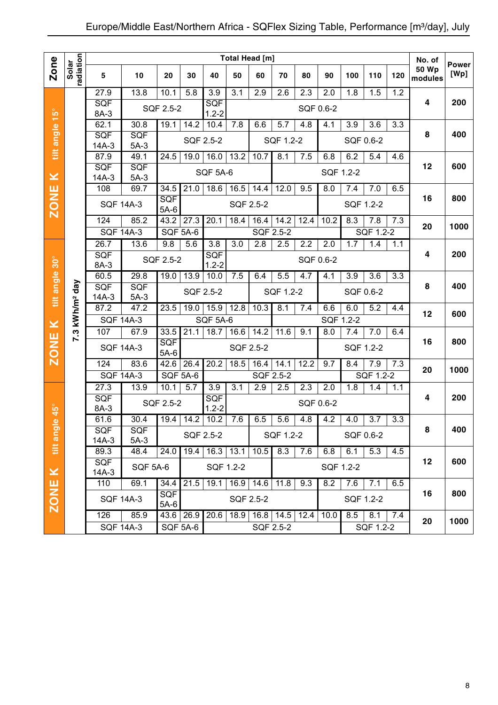|                           |                        |                         |                  |                      |                  |                         |                  | Total Head [m]   |                  |           |                  |           |                  |                  | No. of           |                      |
|---------------------------|------------------------|-------------------------|------------------|----------------------|------------------|-------------------------|------------------|------------------|------------------|-----------|------------------|-----------|------------------|------------------|------------------|----------------------|
| Zone                      | radiation<br>Solar     |                         |                  |                      |                  |                         |                  |                  |                  |           |                  |           |                  |                  | <b>50 Wp</b>     | <b>Power</b><br>[Wp] |
|                           |                        | $\overline{\mathbf{5}}$ | 10               | 20                   | 30               | 40                      | 50               | 60               | 70               | 80        | 90               | 100       | 110              | 120              | modules          |                      |
|                           |                        | 27.9                    | 13.8             | 10.1                 | 5.8              | 3.9                     | $\overline{3.1}$ | 2.9              | $\overline{2.6}$ | 2.3       | 2.0              | 1.8       | 1.5              | $\overline{1.2}$ |                  |                      |
|                           |                        | SQF                     |                  | SQF 2.5-2            |                  | SQF                     |                  |                  |                  | SQF 0.6-2 |                  |           |                  |                  | $\boldsymbol{4}$ | 200                  |
| $15^{\circ}$              |                        | 8A-3<br>62.1            | 30.8             | 19.1                 | 14.2             | $1.2 - 2$<br>10.4       | 7.8              | 6.6              | 5.7              | 4.8       | 4.1              | 3.9       | 3.6              | 3.3              |                  |                      |
| tilt angle                |                        | SQF                     | <b>SQF</b>       |                      |                  |                         |                  |                  |                  |           |                  |           |                  |                  | 8                | 400                  |
|                           |                        | $14A-3$                 | $5A-3$           |                      | SQF 2.5-2        |                         |                  |                  | SQF 1.2-2        |           |                  |           | SQF 0.6-2        |                  |                  |                      |
|                           |                        | 87.9                    | 49.1             | 24.5                 | 19.0             | 16.0                    | 13.2             | 10.7             | 8.1              | 7.5       | 6.8              | 6.2       | 5.4              | 4.6              |                  |                      |
|                           |                        | SQF                     | <b>SQF</b>       |                      |                  | <b>SQF 5A-6</b>         |                  |                  |                  |           | SQF 1.2-2        |           |                  |                  | 12               | 600                  |
| $\geq$                    |                        | $14A-3$                 | $5A-3$           |                      |                  |                         |                  |                  |                  |           |                  |           |                  |                  |                  |                      |
|                           |                        | 108                     | 69.7             | 34.5                 | 21.0             | 18.6                    | 16.5             | 14.4             | 12.0             | 9.5       | 8.0              | 7.4       | 7.0              | 6.5              |                  |                      |
| <b>ZONE</b>               |                        |                         | <b>SQF 14A-3</b> | <b>SQF</b><br>$5A-6$ |                  |                         | SQF 2.5-2        |                  |                  |           |                  |           | SQF 1.2-2        |                  | 16               | 800                  |
|                           |                        | 124                     | 85.2             | 43.2                 | 27.3             | 20.1                    | 18.4             | 16.4             | 14.2             | 12.4      | 10.2             | 8.3       | 7.8              | 7.3              |                  | 1000                 |
|                           |                        |                         | <b>SQF 14A-3</b> | <b>SQF 5A-6</b>      |                  |                         |                  | SQF 2.5-2        |                  |           |                  |           | SQF 1.2-2        |                  | 20               |                      |
|                           |                        | 26.7                    | 13.6             | 9.8                  | 5.6              | $\overline{3.8}$        | $\overline{3.0}$ | 2.8              | 2.5              | 2.2       | $\overline{2.0}$ | 1.7       | 1.4              | 1.1              |                  |                      |
|                           |                        | SQF                     |                  | SQF 2.5-2            |                  | <b>SQF</b>              |                  |                  |                  | SQF 0.6-2 |                  |           |                  |                  | 4                | 200                  |
| $30^\circ$                |                        | 8A-3                    |                  |                      |                  | $1.2 - 2$               |                  |                  |                  |           |                  |           |                  |                  |                  |                      |
|                           |                        | 60.5<br>SQF             | 29.8<br>SQF      | 19.0                 | 13.9             | 10.0                    | 7.5              | 6.4              | 5.5              | 4.7       | 4.1              | 3.9       | 3.6              | 3.3              | 8                | 400                  |
| tilt angle                | kWh/m <sup>2</sup> day | $14A-3$                 | $5A-3$           |                      |                  | SQF 2.5-2               |                  |                  | SQF 1.2-2        |           |                  |           | SQF 0.6-2        |                  |                  |                      |
|                           |                        | 87.2                    | 47.2             | 23.5                 | 19.0             | 15.9                    | 12.8             | 10.3             | 8.1              | 7.4       | 6.6              | 6.0       | $\overline{5.2}$ | 4.4              |                  |                      |
|                           |                        | <b>SQF 14A-3</b>        |                  |                      |                  | <b>SQF 5A-6</b>         |                  |                  |                  |           | SQF 1.2-2        |           |                  |                  | 12               | 600                  |
| $\geq$                    | 7.3                    | 107                     | 67.9             | 33.5                 | 21.1             | 18.7                    | 16.6             | 14.2             | 11.6             | 9.1       | 8.0              | 7.4       | 7.0              | 6.4              |                  |                      |
| <b>ZONE</b>               |                        |                         | <b>SQF 14A-3</b> | SQF                  |                  |                         | SQF 2.5-2        |                  |                  |           |                  |           | SQF 1.2-2        |                  | 16               | 800                  |
|                           |                        |                         |                  | $5A-6$               |                  |                         |                  |                  |                  |           |                  |           |                  |                  |                  |                      |
|                           |                        | 124                     | 83.6             | 42.6                 | 26.4             | 20.2                    | 18.5             | 16.4             | 14.1             | 12.2      | 9.7              | 8.4       | 7.9              | 7.3              | 20               | 1000                 |
|                           |                        | <b>SQF 14A-3</b>        |                  | <b>SQF 5A-6</b>      |                  |                         |                  | SQF 2.5-2        |                  |           |                  |           | SQF 1.2-2        |                  |                  |                      |
|                           |                        | $\overline{27.3}$       | 13.9             | 10.1                 | $\overline{5.7}$ | 3.9                     | 3.1              | $\overline{2.9}$ | 2.5              | 2.3       | 2.0              | 1.8       | 1.4              | 1.1              | 4                | 200                  |
|                           |                        | <b>SQF</b><br>8A-3      |                  | SQF 2.5-2            |                  | <b>SQF</b><br>$1.2 - 2$ |                  |                  |                  | SQF 0.6-2 |                  |           |                  |                  |                  |                      |
| $45^{\circ}$<br>$\bullet$ |                        | 61.6                    | 30.4             | $19.4$ 14.2          |                  | 10.2                    | 7.6              | 6.5              | 5.6              | 4.8       | 4.2              | 4.0       | 3.7              | 3.3              |                  |                      |
|                           |                        | SQF                     | <b>SQF</b>       |                      |                  |                         |                  |                  |                  |           |                  |           |                  |                  | 8                | 400                  |
| tilt angl                 |                        | 14A-3                   | $5A-3$           |                      |                  | SQF 2.5-2               |                  |                  | SQF 1.2-2        |           |                  |           | SQF 0.6-2        |                  |                  |                      |
|                           |                        | 89.3                    | 48.4             | 24.0                 | 19.4             | $16.3$ 13.1             |                  | 10.5             | 8.3              | 7.6       | 6.8              | 6.1       | 5.3              | 4.5              |                  |                      |
|                           |                        | <b>SQF</b>              | <b>SQF 5A-6</b>  |                      |                  | SQF 1.2-2               |                  |                  |                  |           |                  | SQF 1.2-2 |                  |                  | 12               | 600                  |
| $\geq$                    |                        | $14A-3$<br>110          | 69.1             | 34.4                 | 21.5             | 19.1                    | 16.9             | 14.6             | 11.8             | 9.3       | 8.2              | 7.6       | 7.1              | 6.5              |                  |                      |
|                           |                        |                         |                  | <b>SQF</b>           |                  |                         |                  |                  |                  |           |                  |           |                  |                  | 16               | 800                  |
| <b>ZONE</b>               |                        |                         | <b>SQF 14A-3</b> | $5A-6$               |                  |                         | SQF 2.5-2        |                  |                  |           |                  |           | SQF 1.2-2        |                  |                  |                      |
|                           |                        | 126                     | 85.9             | $43.6$ 26.9          |                  | 20.6                    | 18.9             | $16.8$ 14.5      |                  | 12.4      | 10.0             | 8.5       | 8.1              | 7.4              |                  |                      |
|                           |                        |                         | <b>SQF 14A-3</b> |                      | <b>SQF 5A-6</b>  |                         |                  | SQF 2.5-2        |                  |           |                  |           | SQF 1.2-2        |                  | 20               | 1000                 |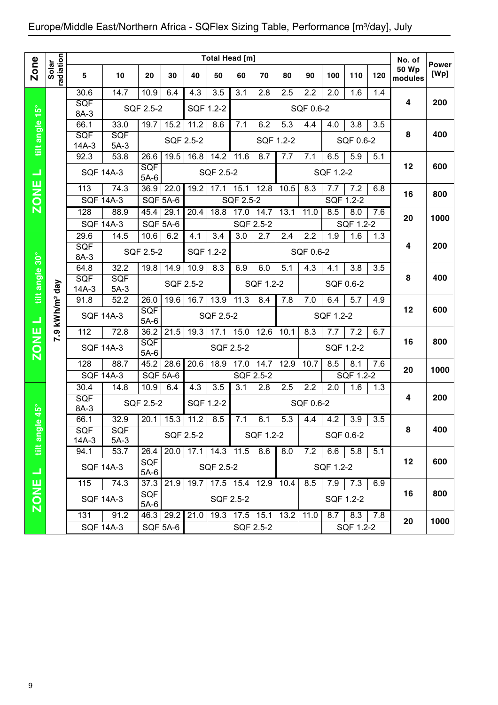|                                    |                        |                    |                  |                      |                        |             |           | Total Head [m]         |                                  |         |           |                   |                   |     | No. of                  |                      |
|------------------------------------|------------------------|--------------------|------------------|----------------------|------------------------|-------------|-----------|------------------------|----------------------------------|---------|-----------|-------------------|-------------------|-----|-------------------------|----------------------|
| <b>Zone</b>                        | radiation<br>Solar     | 5                  | 10               | 20                   | 30                     | 40          | 50        | 60                     | 70                               | 80      | 90        | 100               | 110               | 120 | <b>50 Wp</b><br>modules | <b>Power</b><br>[Wp] |
|                                    |                        | 30.6               | 14.7             | 10.9                 | 6.4                    | 4.3         | 3.5       | 3.1                    | 2.8                              | 2.5     | 2.2       | 2.0               | 1.6               | 1.4 |                         |                      |
|                                    |                        | SQF<br>8A-3        |                  | SQF 2.5-2            |                        | SQF 1.2-2   |           |                        |                                  |         | SQF 0.6-2 |                   |                   |     | 4                       | 200                  |
|                                    |                        | 66.1               | 33.0             | 19.7                 | 15.2                   | 11.2        | 8.6       | 7.1                    | 6.2                              | 5.3     | 4.4       | 4.0               | 3.8               | 3.5 |                         |                      |
| tilt angle 15°                     |                        | SQF                | SQF              |                      |                        | SQF 2.5-2   |           |                        | SQF 1.2-2                        |         |           |                   | SQF 0.6-2         |     | 8                       | 400                  |
|                                    |                        | $14A-3$<br>92.3    | $5A-3$<br>53.8   | 26.6                 | 19.5                   | 16.8        | 14.2      | 11.6                   | 8.7                              | 7.7     | 7.1       | 6.5               | 5.9               | 5.1 |                         |                      |
| ⊐                                  |                        | <b>SQF 14A-3</b>   |                  | <b>SQF</b><br>$5A-6$ |                        |             | SQF 2.5-2 |                        |                                  |         |           | SQF 1.2-2         |                   |     | 12                      | 600                  |
|                                    |                        | 113                | 74.3             | 36.9                 | 22.0                   | 19.2        | 17.1      | 15.1                   | 12.8                             | 10.5    | 8.3       | 7.7               | 7.2               | 6.8 |                         |                      |
| <b>ZONE</b>                        |                        | <b>SQF 14A-3</b>   |                  | SQF 5A-6             |                        |             |           | $\overline{SQF}$ 2.5-2 |                                  |         |           | SQF 1.2-2         |                   |     | 16                      | 800                  |
|                                    |                        | 128                | 88.9             | 45.4                 | 29.1                   | 20.4        | 18.8      | 17.0                   | 14.7                             | 13.1    | 11.0      | 8.5               | 8.0               | 7.6 |                         |                      |
|                                    |                        | <b>SQF 14A-3</b>   |                  | SQF 5A-6             |                        |             |           | SQF 2.5-2              |                                  |         |           |                   | SQF 1.2-2         |     | 20                      | 1000                 |
|                                    |                        | 29.6               | 14.5             | 10.6                 | 6.2                    | 4.1         | 3.4       | 3.0                    | 2.7                              | 2.4     | 2.2       | 1.9               | 1.6               | 1.3 |                         |                      |
|                                    |                        | <b>SQF</b><br>8A-3 |                  | SQF 2.5-2            |                        | SQF 1.2-2   |           |                        |                                  |         | SQF 0.6-2 |                   |                   |     | 4                       | 200                  |
|                                    |                        | 64.8               | 32.2             | 19.8                 | 14.9                   | 10.9        | 8.3       | 6.9                    | 6.0                              | 5.1     | 4.3       | 4.1               | 3.8               | 3.5 |                         |                      |
| tilt angle 30°                     |                        | SQF                | <b>SQF</b>       |                      |                        | SQF 2.5-2   |           |                        | SQF 1.2-2                        |         |           | SQF 0.6-2         |                   |     | 8                       | 400                  |
|                                    |                        | $14A-3$            | $5A-3$           |                      |                        |             |           |                        |                                  |         |           |                   |                   |     |                         |                      |
|                                    |                        | 91.8               | 52.2             | 26.0<br><b>SQF</b>   | 19.6                   | 16.7        | 13.9      | 11.3                   | 8.4                              | 7.8     | 7.0       | 6.4               | 5.7               | 4.9 | 12                      | 600                  |
| ᆜ                                  | kWh/m <sup>2</sup> day | <b>SQF 14A-3</b>   |                  | $5A-6$               |                        |             | SQF 2.5-2 |                        |                                  |         |           | SQF 1.2-2         |                   |     |                         |                      |
|                                    | 7.9                    | 112                | 72.8             | 36.2                 | 21.5                   | 19.3        | 17.1      | 15.0                   | 12.6                             | 10.1    | 8.3       | 7.7               | 7.2               | 6.7 |                         |                      |
| <b>ZONE</b>                        |                        | <b>SQF 14A-3</b>   |                  | <b>SQF</b><br>$5A-6$ |                        |             |           | SQF 2.5-2              |                                  |         |           | SQF 1.2-2         |                   |     | 16                      | 800                  |
|                                    |                        | 128                | 88.7             | 45.2                 | 28.6                   | 20.6        | 18.9      | 17.0                   | 14.7                             | 12.9    | 10.7      | 8.5               | 8.1               | 7.6 | 20                      | 1000                 |
|                                    |                        | <b>SQF 14A-3</b>   |                  | <b>SQF 5A-6</b>      |                        |             |           |                        | SQF 2.5-2                        |         |           |                   | SQF 1.2-2         |     |                         |                      |
|                                    |                        | 30.4<br>SQF        | 14.8             | 10.9                 | 6.4                    | 4.3         | 3.5       | 3.1                    | 2.8                              | 2.5     | 2.2       | 2.0               | 1.6               | 1.3 | 4                       | 200                  |
| $\overline{\left 45^\circ\right }$ |                        | 8A-3               |                  | SQF 2.5-2            |                        | SQF 1.2-2   |           |                        |                                  |         | SQF 0.6-2 |                   |                   |     |                         |                      |
| $\bullet$                          |                        | 66.1               | 32.9             |                      | $\overline{20.1}$ 15.3 | 11.2        | 8.5       | 7.1                    | 6.1                              | $5.3\,$ | 4.4       | 4.2               | 3.9               | 3.5 |                         |                      |
| tilt angle                         |                        | <b>SQF</b>         | SQF              |                      |                        | SQF 2.5-2   |           |                        | SQF 1.2-2                        |         |           | SQF 0.6-2         |                   |     | 8                       | 400                  |
|                                    |                        | $14A-3$<br>94.1    | $5A-3$<br>53.7   | 26.4                 | 20.0                   | $17.1$ 14.3 |           | 11.5                   | 8.6                              | 8.0     | 7.2       | 6.6               | 5.8               | 5.1 |                         |                      |
|                                    |                        |                    |                  | SQF                  |                        |             |           |                        |                                  |         |           |                   |                   |     | 12                      | 600                  |
| $\overline{\phantom{0}}$           |                        |                    | <b>SQF 14A-3</b> | $5A-6$               |                        |             | SQF 2.5-2 |                        |                                  |         |           | SQF 1.2-2         |                   |     |                         |                      |
|                                    |                        | 115                | 74.3             |                      | 37.3 21.9              |             |           |                        | 19.7   17.5   15.4   12.9   10.4 |         |           | $8.5$   7.9   7.3 |                   | 6.9 |                         |                      |
| <b>ZONE</b>                        |                        |                    | <b>SQF 14A-3</b> | <b>SQF</b><br>$5A-6$ |                        |             | SQF 2.5-2 |                        |                                  |         |           | SQF 1.2-2         |                   |     | 16                      | 800                  |
|                                    |                        | 131                | 91.2             |                      | 46.3 29.2              | 21.0        |           |                        | 19.3   17.5   15.1   13.2        |         | 11.0      |                   | $8.7$   8.3   7.8 |     |                         |                      |
|                                    |                        |                    | <b>SQF 14A-3</b> |                      | SQF 5A-6               |             |           |                        | SQF 2.5-2                        |         |           |                   | SQF 1.2-2         |     | 20                      | 1000                 |